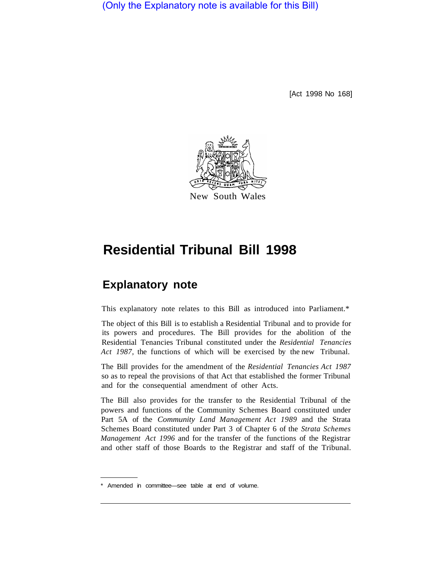(Only the Explanatory note is available for this Bill)

[Act 1998 No 168]



# **Residential Tribunal Bill 1998**

# **Explanatory note**

This explanatory note relates to this Bill as introduced into Parliament.\*

The object of this Bill is to establish a Residential Tribunal and to provide for its powers and procedures. The Bill provides for the abolition of the Residential Tenancies Tribunal constituted under the *Residential Tenancies Act 1987,* the functions of which will be exercised by the new Tribunal.

The Bill provides for the amendment of the *Residential Tenancies Act 1987*  so as to repeal the provisions of that Act that established the former Tribunal and for the consequential amendment of other Acts.

The Bill also provides for the transfer to the Residential Tribunal of the powers and functions of the Community Schemes Board constituted under Part 5A of the *Community Land Management Act 1989* and the Strata Schemes Board constituted under Part 3 of Chapter 6 of the *Strata Schemes Management Act 1996* and for the transfer of the functions of the Registrar and other staff of those Boards to the Registrar and staff of the Tribunal.

Amended in committee—see table at end of volume.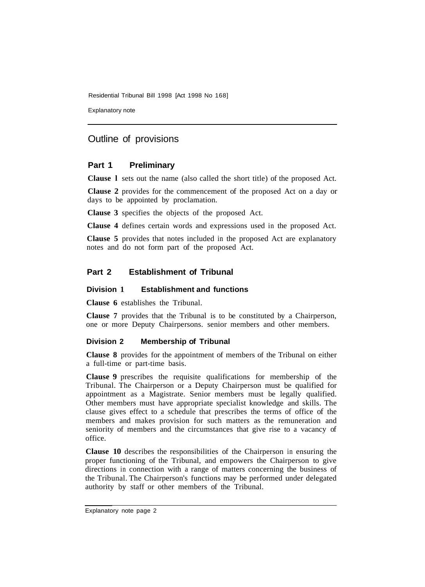Explanatory note

## Outline of provisions

#### **Part 1 Preliminary**

**Clause l** sets out the name (also called the short title) of the proposed Act.

**Clause 2** provides for the commencement of the proposed Act on a day or days to be appointed by proclamation.

**Clause 3** specifies the objects of the proposed Act.

**Clause 4** defines certain words and expressions used in the proposed Act.

**Clause 5** provides that notes included in the proposed Act are explanatory notes and do not form part of the proposed Act.

#### **Part 2 Establishment of Tribunal**

#### **Division 1 Establishment and functions**

**Clause 6** establishes the Tribunal.

**Clause 7** provides that the Tribunal is to be constituted by a Chairperson, one or more Deputy Chairpersons. senior members and other members.

#### **Division 2 Membership of Tribunal**

**Clause 8** provides for the appointment of members of the Tribunal on either a full-time or part-time basis.

**Clause 9** prescribes the requisite qualifications for membership of the Tribunal. The Chairperson or a Deputy Chairperson must be qualified for appointment as a Magistrate. Senior members must be legally qualified. Other members must have appropriate specialist knowledge and skills. The clause gives effect to a schedule that prescribes the terms of office of the members and makes provision for such matters as the remuneration and seniority of members and the circumstances that give rise to a vacancy of office.

**Clause 10** describes the responsibilities of the Chairperson in ensuring the proper functioning of the Tribunal, and empowers the Chairperson to give directions in connection with a range of matters concerning the business of the Tribunal. The Chairperson's functions may be performed under delegated authority by staff or other members of the Tribunal.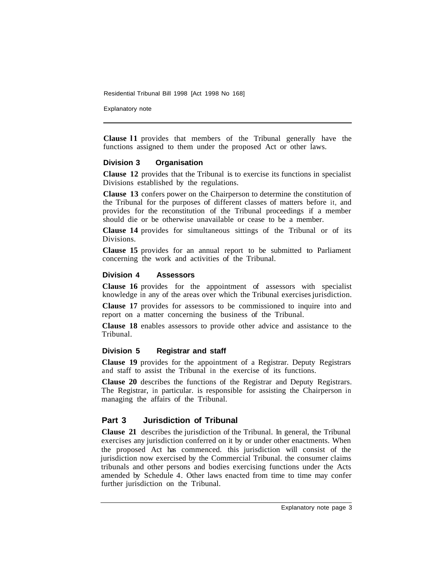Explanatory note

**Clause l1** provides that members of the Tribunal generally have the functions assigned to them under the proposed Act or other laws.

#### **Division 3 Organisation**

**Clause 12** provides that the Tribunal is to exercise its functions in specialist Divisions established by the regulations.

**Clause 13** confers power on the Chairperson to determine the constitution of the Tribunal for the purposes of different classes of matters before it, and provides for the reconstitution of the Tribunal proceedings if a member should die or be otherwise unavailable or cease to be a member.

**Clause 14** provides for simultaneous sittings of the Tribunal or of its Divisions.

**Clause 15** provides for an annual report to be submitted to Parliament concerning the work and activities of the Tribunal.

#### **Division 4 Assessors**

**Clause 16** provides for the appointment of assessors with specialist knowledge in any of the areas over which the Tribunal exercises jurisdiction.

**Clause 17** provides for assessors to be commissioned to inquire into and report on a matter concerning the business of the Tribunal.

**Clause 18** enables assessors to provide other advice and assistance to the Tribunal.

#### **Division 5 Registrar and staff**

**Clause 19** provides for the appointment of a Registrar. Deputy Registrars and staff to assist the Tribunal in the exercise of its functions.

**Clause 20** describes the functions of the Registrar and Deputy Registrars. The Registrar, in particular. is responsible for assisting the Chairperson in managing the affairs of the Tribunal.

### **Part 3 Jurisdiction of Tribunal**

**Clause 21** describes the jurisdiction of the Tribunal. In general, the Tribunal exercises any jurisdiction conferred on it by or under other enactments. When the proposed Act has commenced. this jurisdiction will consist of the jurisdiction now exercised by the Commercial Tribunal. the consumer claims tribunals and other persons and bodies exercising functions under the Acts amended by Schedule 4. Other laws enacted from time to time may confer further jurisdiction on the Tribunal.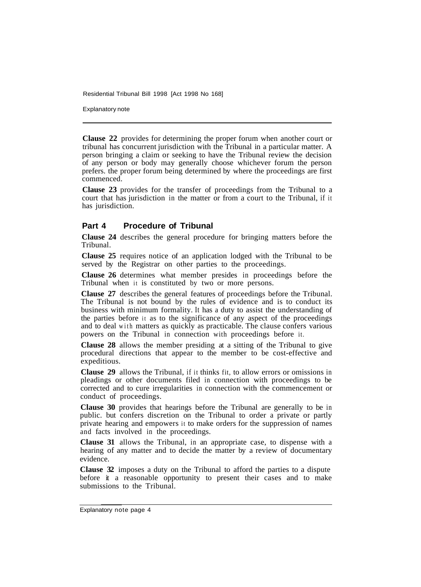Explanatory note

**Clause 22** provides for determining the proper forum when another court or tribunal has concurrent jurisdiction with the Tribunal in a particular matter. A person bringing a claim or seeking to have the Tribunal review the decision of any person or body may generally choose whichever forum the person prefers. the proper forum being determined by where the proceedings are first commenced.

**Clause 23** provides for the transfer of proceedings from the Tribunal to a court that has jurisdiction in the matter or from a court to the Tribunal, if it has jurisdiction.

#### **Part 4 Procedure of Tribunal**

**Clause 24** describes the general procedure for bringing matters before the Tribunal.

**Clause 25** requires notice of an application lodged with the Tribunal to be served by the Registrar on other parties to the proceedings.

**Clause 26** determines what member presides in proceedings before the Tribunal when it is constituted by two or more persons.

**Clause 27** describes the general features of proceedings before the Tribunal. The Tribunal is not bound by the rules of evidence and is to conduct its business with minimum formality. It has a duty to assist the understanding of the parties before it as to the significance of any aspect of the proceedings and to deal with matters as quickly as practicable. The clause confers various powers on the Tribunal in connection with proceedings before it.

**Clause 28** allows the member presiding at a sitting of the Tribunal to give procedural directions that appear to the member to be cost-effective and expeditious.

**Clause 29** allows the Tribunal, if it thinks fit, to allow errors or omissions in pleadings or other documents filed in connection with proceedings to be corrected and to cure irregularities in connection with the commencement or conduct of proceedings.

**Clause 30** provides that hearings before the Tribunal are generally to be in public. but confers discretion on the Tribunal to order a private or partly private hearing and empowers it to make orders for the suppression of names and facts involved in the proceedings.

**Clause 31** allows the Tribunal, in an appropriate case, to dispense with a hearing of any matter and to decide the matter by a review of documentary evidence.

**Clause 32** imposes a duty on the Tribunal to afford the parties to a dispute before it a reasonable opportunity to present their cases and to make submissions to the Tribunal.

Explanatory note page 4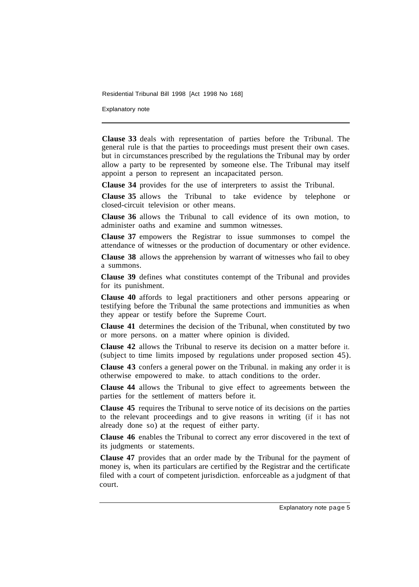Explanatory note

**Clause 33** deals with representation of parties before the Tribunal. The general rule is that the parties to proceedings must present their own cases. but in circumstances prescribed by the regulations the Tribunal may by order allow a party to be represented by someone else. The Tribunal may itself appoint a person to represent an incapacitated person.

**Clause 34** provides for the use of interpreters to assist the Tribunal.

**Clause 35** allows the Tribunal to take evidence by telephone or closed-circuit television or other means.

**Clause 36** allows the Tribunal to call evidence of its own motion, to administer oaths and examine and summon witnesses.

**Clause 37** empowers the Registrar to issue summonses to compel the attendance of witnesses or the production of documentary or other evidence.

**Clause 38** allows the apprehension by warrant of witnesses who fail to obey a summons.

**Clause 39** defines what constitutes contempt of the Tribunal and provides for its punishment.

**Clause 40** affords to legal practitioners and other persons appearing or testifying before the Tribunal the same protections and immunities as when they appear or testify before the Supreme Court.

**Clause 41** determines the decision of the Tribunal, when constituted by two or more persons. on a matter where opinion is divided.

**Clause 42** allows the Tribunal to reserve its decision on a matter before it. (subject to time limits imposed by regulations under proposed section 45).

**Clause 43** confers a general power on the Tribunal. in making any order it is otherwise empowered to make. to attach conditions to the order.

**Clause 44** allows the Tribunal to give effect to agreements between the parties for the settlement of matters before it.

**Clause 45** requires the Tribunal to serve notice of its decisions on the parties to the relevant proceedings and to give reasons in writing (if it has not already done so) at the request of either party.

**Clause 46** enables the Tribunal to correct any error discovered in the text of its judgments or statements.

**Clause 47** provides that an order made by the Tribunal for the payment of money is, when its particulars are certified by the Registrar and the certificate filed with a court of competent jurisdiction. enforceable as a judgment of that court.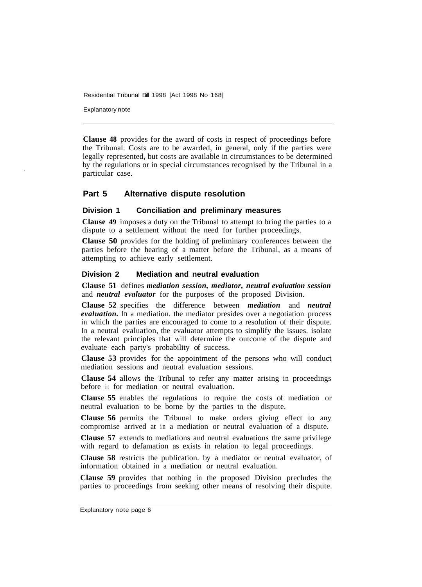Explanatory note

**Clause 48** provides for the award of costs in respect of proceedings before the Tribunal. Costs are to be awarded, in general, only if the parties were legally represented, but costs are available in circumstances to be determined by the regulations or in special circumstances recognised by the Tribunal in a particular case.

#### **Part 5 Alternative dispute resolution**

#### **Division 1 Conciliation and preliminary measures**

**Clause 49** imposes a duty on the Tribunal to attempt to bring the parties to a dispute to a settlement without the need for further proceedings.

**Clause 50** provides for the holding of preliminary conferences between the parties before the hearing of a matter before the Tribunal, as a means of attempting to achieve early settlement.

#### **Division 2 Mediation and neutral evaluation**

**Clause 51** defines *mediation session, mediator, neutral evaluation session*  and *neutral evaluator* for the purposes of the proposed Division.

**Clause 52** specifies the difference between *mediation* and *neutral evaluation*. In a mediation. the mediator presides over a negotiation process in which the parties are encouraged to come to a resolution of their dispute. In a neutral evaluation, the evaluator attempts to simplify the issues. isolate the relevant principles that will determine the outcome of the dispute and evaluate each party's probability of success.

**Clause 53** provides for the appointment of the persons who will conduct mediation sessions and neutral evaluation sessions.

**Clause 54** allows the Tribunal to refer any matter arising in proceedings before it for mediation or neutral evaluation.

**Clause 55** enables the regulations to require the costs of mediation or neutral evaluation to be borne by the parties to the dispute.

**Clause 56** permits the Tribunal to make orders giving effect to any compromise arrived at in a mediation or neutral evaluation of a dispute.

**Clause 57** extends to mediations and neutral evaluations the same privilege with regard to defamation as exists in relation to legal proceedings.

**Clause 58** restricts the publication. by a mediator or neutral evaluator, of information obtained in a mediation or neutral evaluation.

**Clause 59** provides that nothing in the proposed Division precludes the parties to proceedings from seeking other means of resolving their dispute.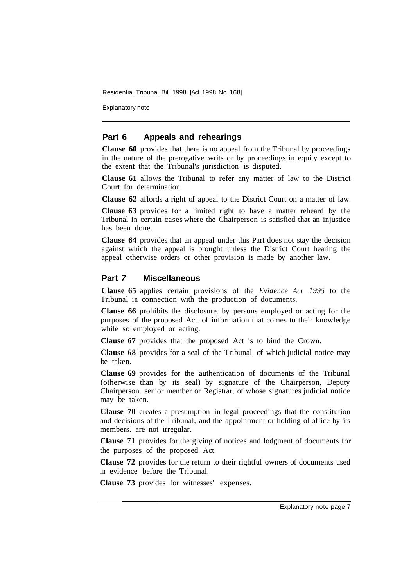Explanatory note

#### **Part 6 Appeals and rehearings**

**Clause 60** provides that there is no appeal from the Tribunal by proceedings in the nature of the prerogative writs or by proceedings in equity except to the extent that the Tribunal's jurisdiction is disputed.

**Clause 61** allows the Tribunal to refer any matter of law to the District Court for determination.

**Clause 62** affords a right of appeal to the District Court on a matter of law.

**Clause 63** provides for a limited right to have a matter reheard by the Tribunal in certain cases where the Chairperson is satisfied that an injustice has been done.

**Clause 64** provides that an appeal under this Part does not stay the decision against which the appeal is brought unless the District Court hearing the appeal otherwise orders or other provision is made by another law.

#### **Part** *7* **Miscellaneous**

**Clause 65** applies certain provisions of the *Evidence Act 1995* to the Tribunal in connection with the production of documents.

**Clause 66** prohibits the disclosure. by persons employed or acting for the purposes of the proposed Act. of information that comes to their knowledge while so employed or acting.

**Clause 67** provides that the proposed Act is to bind the Crown.

**Clause 68** provides for a seal of the Tribunal. of which judicial notice may be taken.

**Clause 69** provides for the authentication of documents of the Tribunal (otherwise than by its seal) by signature of the Chairperson, Deputy Chairperson. senior member or Registrar, of whose signatures judicial notice may be taken.

**Clause 70** creates a presumption in legal proceedings that the constitution and decisions of the Tribunal, and the appointment or holding of office by its members. are not irregular.

**Clause 71** provides for the giving of notices and lodgment of documents for the purposes of the proposed Act.

**Clause 72** provides for the return to their rightful owners of documents used in evidence before the Tribunal.

**Clause 73** provides for witnesses' expenses.